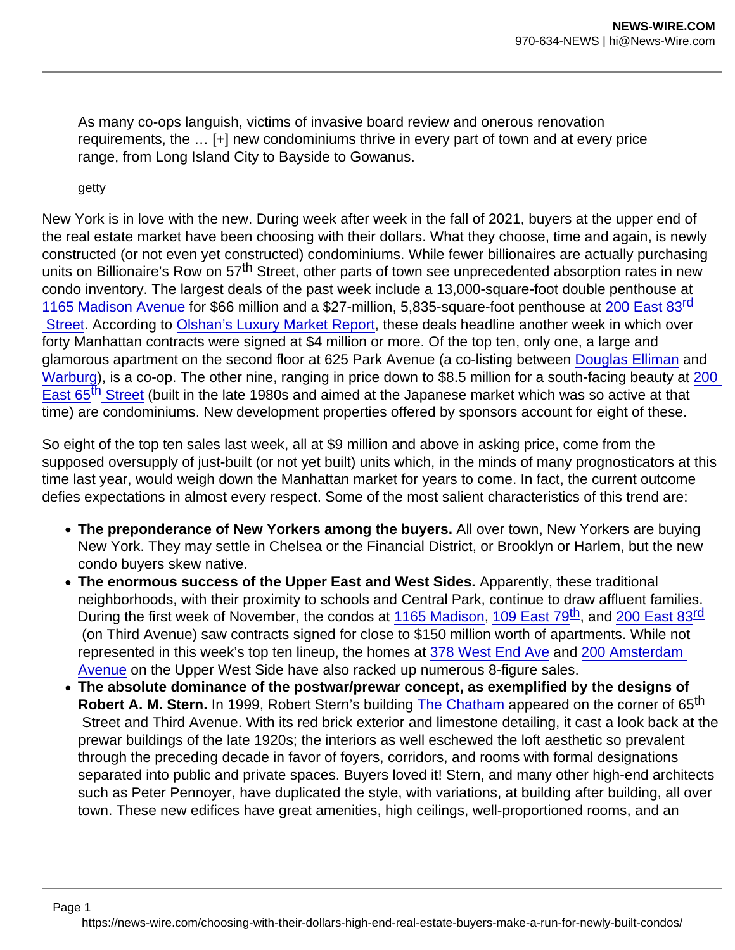As many co-ops languish, victims of invasive board review and onerous renovation requirements, the … [+] new condominiums thrive in every part of town and at every price range, from Long Island City to Bayside to Gowanus.

getty

New York is in love with the new. During week after week in the fall of 2021, buyers at the upper end of the real estate market have been choosing with their dollars. What they choose, time and again, is newly constructed (or not even yet constructed) condominiums. While fewer billionaires are actually purchasing units on Billionaire's Row on 57<sup>th</sup> Street, other parts of town see unprecedented absorption rates in new condo inventory. The largest deals of the past week include a 13,000-square-foot double penthouse at [1165 Madison Avenue](https://the-bellemont.com/residences) for \$66 million and a \$27-million, 5,835-square-foot penthouse at [200 East 83](https://200east83rd.com/penthouses/)<sup>[rd](https://200east83rd.com/penthouses/)</sup> Street. According to [Olshan's Luxury Market Report](https://olshan.com/marketreport.php), these deals headline another week in which over forty Manhattan contracts were signed at \$4 million or more. Of the top ten, only one, a large and glamorous apartment on the second floor at 625 Park Avenue (a co-listing between [Douglas Elliman](https://streeteasy.com/building/625-park-avenue-new_york/sale/1570529) and [Warburg](https://streeteasy.com/building/625-park-avenue-new_york/sale/1570549)), is a co-op. The other nine, ranging in price down to \$8.5 million for a south-facing beauty at 200 [East 65](https://www.compass.com/listing/867378713104484817/view)<sup>th</sup> [Street](https://www.compass.com/listing/867378713104484817/view) (built in the late 1980s and aimed at the Japanese market which was so active at that time) are condominiums. New development properties offered by sponsors account for eight of these.

So eight of the top ten sales last week, all at \$9 million and above in asking price, come from the supposed oversupply of just-built (or not yet built) units which, in the minds of many prognosticators at this time last year, would weigh down the Manhattan market for years to come. In fact, the current outcome defies expectations in almost every respect. Some of the most salient characteristics of this trend are:

- The preponderance of New Yorkers among the buyers. All over town, New Yorkers are buying New York. They may settle in Chelsea or the Financial District, or Brooklyn or Harlem, but the new condo buyers skew native.
- The enormous success of the Upper East and West Sides. Apparently, these traditional neighborhoods, with their proximity to schools and Central Park, continue to draw affluent families. During the first week of November, the condos at [1165 Madison,](https://the-bellemont.com/?utm_source=googlekeywords&utm_medium=paid&utm_campaign=1165madison&gclid=Cj0KCQiA-K2MBhC-ARIsAMtLKRudXeVVKWgFkvJl3Ns_9CZgsRicETpNgxUVgN_PaeA3Yc2LveH_5JwaAgBkEALw_wcB) [109 East 79](https://109east79.com/)<sup>th</sup>, and [200 East 83](https://200east83rd.com/)<sup>rd</sup> (on Third Avenue) saw contracts signed for close to \$150 million worth of apartments. While not represented in this week's top ten lineup, the homes at [378 West End Ave](https://378wea.com/building?gclid=Cj0KCQiA-K2MBhC-ARIsAMtLKRvprEdhm3nXrArnttnLi0_FVTUnP8SBwgrpjSQ_XvVAPD3z8Yxa-d8aAlucEALw_wcB) and [200 Amsterdam](https://200amsterdam.com/?gclid=Cj0KCQiA-K2MBhC-ARIsAMtLKRvfFWl9GuSf2br2B1ybJQqUA6FYexYRqbrvrgKoS0LRaffVntfzRJIaAuhyEALw_wcB)  [Avenue](https://200amsterdam.com/?gclid=Cj0KCQiA-K2MBhC-ARIsAMtLKRvfFWl9GuSf2br2B1ybJQqUA6FYexYRqbrvrgKoS0LRaffVntfzRJIaAuhyEALw_wcB) on the Upper West Side have also racked up numerous 8-figure sales.
- The absolute dominance of the postwar/prewar concept, as exemplified by the designs of Robert A. M. Stern. In 1999, Robert Stern's building [The Chatham](https://www.related.com/our-company/properties/chatham) appeared on the corner of 65<sup>th</sup> Street and Third Avenue. With its red brick exterior and limestone detailing, it cast a look back at the prewar buildings of the late 1920s; the interiors as well eschewed the loft aesthetic so prevalent through the preceding decade in favor of foyers, corridors, and rooms with formal designations separated into public and private spaces. Buyers loved it! Stern, and many other high-end architects such as Peter Pennoyer, have duplicated the style, with variations, at building after building, all over town. These new edifices have great amenities, high ceilings, well-proportioned rooms, and an